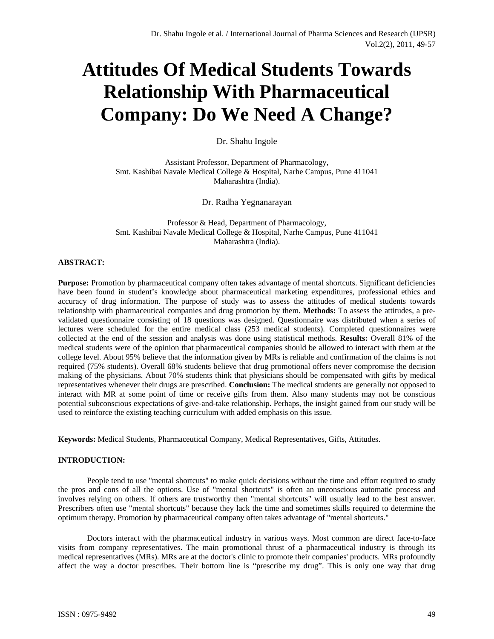# **Attitudes Of Medical Students Towards Relationship With Pharmaceutical Company: Do We Need A Change?**

Dr. Shahu Ingole

Assistant Professor, Department of Pharmacology, Smt. Kashibai Navale Medical College & Hospital, Narhe Campus, Pune 411041 Maharashtra (India).

Dr. Radha Yegnanarayan

Professor & Head, Department of Pharmacology, Smt. Kashibai Navale Medical College & Hospital, Narhe Campus, Pune 411041 Maharashtra (India).

# **ABSTRACT:**

**Purpose:** Promotion by pharmaceutical company often takes advantage of mental shortcuts. Significant deficiencies have been found in student's knowledge about pharmaceutical marketing expenditures, professional ethics and accuracy of drug information. The purpose of study was to assess the attitudes of medical students towards relationship with pharmaceutical companies and drug promotion by them. **Methods:** To assess the attitudes, a prevalidated questionnaire consisting of 18 questions was designed. Questionnaire was distributed when a series of lectures were scheduled for the entire medical class (253 medical students). Completed questionnaires were collected at the end of the session and analysis was done using statistical methods. **Results:** Overall 81% of the medical students were of the opinion that pharmaceutical companies should be allowed to interact with them at the college level. About 95% believe that the information given by MRs is reliable and confirmation of the claims is not required (75% students). Overall 68% students believe that drug promotional offers never compromise the decision making of the physicians. About 70% students think that physicians should be compensated with gifts by medical representatives whenever their drugs are prescribed. **Conclusion:** The medical students are generally not opposed to interact with MR at some point of time or receive gifts from them. Also many students may not be conscious potential subconscious expectations of give-and-take relationship. Perhaps, the insight gained from our study will be used to reinforce the existing teaching curriculum with added emphasis on this issue.

**Keywords:** Medical Students, Pharmaceutical Company, Medical Representatives, Gifts, Attitudes.

#### **INTRODUCTION:**

People tend to use "mental shortcuts" to make quick decisions without the time and effort required to study the pros and cons of all the options. Use of "mental shortcuts" is often an unconscious automatic process and involves relying on others. If others are trustworthy then "mental shortcuts" will usually lead to the best answer. Prescribers often use "mental shortcuts" because they lack the time and sometimes skills required to determine the optimum therapy. Promotion by pharmaceutical company often takes advantage of "mental shortcuts."

Doctors interact with the pharmaceutical industry in various ways. Most common are direct face-to-face visits from company representatives. The main promotional thrust of a pharmaceutical industry is through its medical representatives (MRs). MRs are at the doctor's clinic to promote their companies' products. MRs profoundly affect the way a doctor prescribes. Their bottom line is "prescribe my drug". This is only one way that drug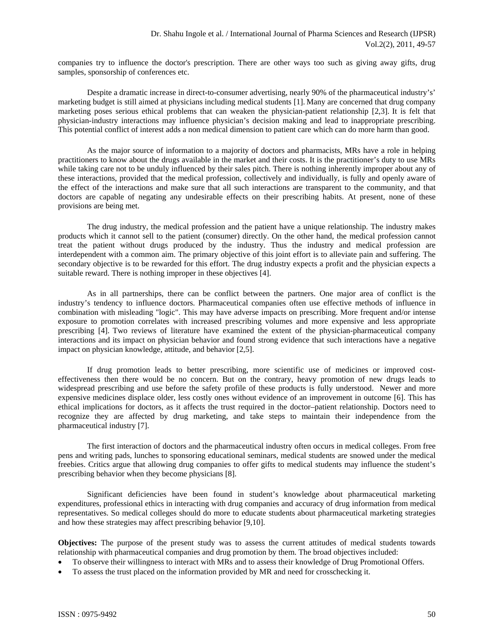companies try to influence the doctor's prescription. There are other ways too such as giving away gifts, drug samples, sponsorship of conferences etc.

Despite a dramatic increase in direct-to-consumer advertising, nearly 90% of the pharmaceutical industry's' marketing budget is still aimed at physicians including medical students [1]. Many are concerned that drug company marketing poses serious ethical problems that can weaken the physician-patient relationship [2,3]. It is felt that physician-industry interactions may influence physician's decision making and lead to inappropriate prescribing. This potential conflict of interest adds a non medical dimension to patient care which can do more harm than good.

As the major source of information to a majority of doctors and pharmacists, MRs have a role in helping practitioners to know about the drugs available in the market and their costs. It is the practitioner's duty to use MRs while taking care not to be unduly influenced by their sales pitch. There is nothing inherently improper about any of these interactions, provided that the medical profession, collectively and individually, is fully and openly aware of the effect of the interactions and make sure that all such interactions are transparent to the community, and that doctors are capable of negating any undesirable effects on their prescribing habits. At present, none of these provisions are being met.

The drug industry, the medical profession and the patient have a unique relationship. The industry makes products which it cannot sell to the patient (consumer) directly. On the other hand, the medical profession cannot treat the patient without drugs produced by the industry. Thus the industry and medical profession are interdependent with a common aim. The primary objective of this joint effort is to alleviate pain and suffering. The secondary objective is to be rewarded for this effort. The drug industry expects a profit and the physician expects a suitable reward. There is nothing improper in these objectives [4].

As in all partnerships, there can be conflict between the partners. One major area of conflict is the industry's tendency to influence doctors. Pharmaceutical companies often use effective methods of influence in combination with misleading "logic". This may have adverse impacts on prescribing. More frequent and/or intense exposure to promotion correlates with increased prescribing volumes and more expensive and less appropriate prescribing [4]. Two reviews of literature have examined the extent of the physician-pharmaceutical company interactions and its impact on physician behavior and found strong evidence that such interactions have a negative impact on physician knowledge, attitude, and behavior [2,5].

If drug promotion leads to better prescribing, more scientific use of medicines or improved costeffectiveness then there would be no concern. But on the contrary, heavy promotion of new drugs leads to widespread prescribing and use before the safety profile of these products is fully understood. Newer and more expensive medicines displace older, less costly ones without evidence of an improvement in outcome [6]. This has ethical implications for doctors, as it affects the trust required in the doctor–patient relationship. Doctors need to recognize they are affected by drug marketing, and take steps to maintain their independence from the pharmaceutical industry [7].

The first interaction of doctors and the pharmaceutical industry often occurs in medical colleges. From free pens and writing pads, lunches to sponsoring educational seminars, medical students are snowed under the medical freebies. Critics argue that allowing drug companies to offer gifts to medical students may influence the student's prescribing behavior when they become physicians [8].

Significant deficiencies have been found in student's knowledge about pharmaceutical marketing expenditures, professional ethics in interacting with drug companies and accuracy of drug information from medical representatives. So medical colleges should do more to educate students about pharmaceutical marketing strategies and how these strategies may affect prescribing behavior [9,10].

**Objectives:** The purpose of the present study was to assess the current attitudes of medical students towards relationship with pharmaceutical companies and drug promotion by them. The broad objectives included:

- To observe their willingness to interact with MRs and to assess their knowledge of Drug Promotional Offers.
- To assess the trust placed on the information provided by MR and need for crosschecking it.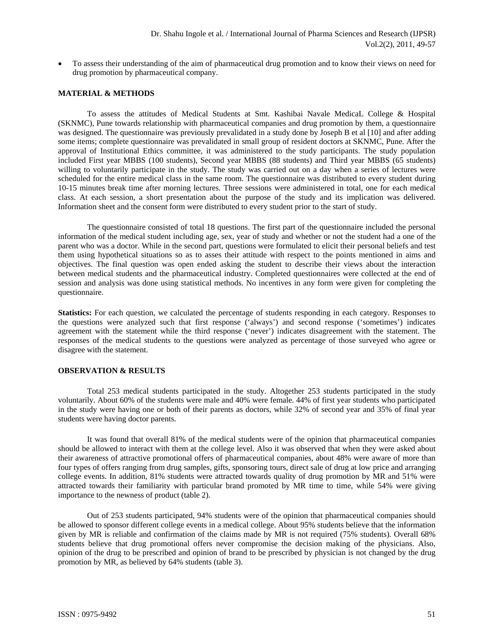To assess their understanding of the aim of pharmaceutical drug promotion and to know their views on need for drug promotion by pharmaceutical company.

#### **MATERIAL & METHODS**

To assess the attitudes of Medical Students at Smt. Kashibai Navale MedicaL College & Hospital (SKNMC), Pune towards relationship with pharmaceutical companies and drug promotion by them, a questionnaire was designed. The questionnaire was previously prevalidated in a study done by Joseph B et al [10] and after adding some items; complete questionnaire was prevalidated in small group of resident doctors at SKNMC, Pune. After the approval of Institutional Ethics committee, it was administered to the study participants. The study population included First year MBBS (100 students), Second year MBBS (88 students) and Third year MBBS (65 students) willing to voluntarily participate in the study. The study was carried out on a day when a series of lectures were scheduled for the entire medical class in the same room. The questionnaire was distributed to every student during 10-15 minutes break time after morning lectures. Three sessions were administered in total, one for each medical class. At each session, a short presentation about the purpose of the study and its implication was delivered. Information sheet and the consent form were distributed to every student prior to the start of study.

The questionnaire consisted of total 18 questions. The first part of the questionnaire included the personal information of the medical student including age, sex, year of study and whether or not the student had a one of the parent who was a doctor. While in the second part, questions were formulated to elicit their personal beliefs and test them using hypothetical situations so as to asses their attitude with respect to the points mentioned in aims and objectives. The final question was open ended asking the student to describe their views about the interaction between medical students and the pharmaceutical industry. Completed questionnaires were collected at the end of session and analysis was done using statistical methods. No incentives in any form were given for completing the questionnaire.

**Statistics:** For each question, we calculated the percentage of students responding in each category. Responses to the questions were analyzed such that first response ('always') and second response ('sometimes') indicates agreement with the statement while the third response ('never') indicates disagreement with the statement. The responses of the medical students to the questions were analyzed as percentage of those surveyed who agree or disagree with the statement.

#### **OBSERVATION & RESULTS**

Total 253 medical students participated in the study. Altogether 253 students participated in the study voluntarily. About 60% of the students were male and 40% were female. 44% of first year students who participated in the study were having one or both of their parents as doctors, while 32% of second year and 35% of final year students were having doctor parents.

It was found that overall 81% of the medical students were of the opinion that pharmaceutical companies should be allowed to interact with them at the college level. Also it was observed that when they were asked about their awareness of attractive promotional offers of pharmaceutical companies, about 48% were aware of more than four types of offers ranging from drug samples, gifts, sponsoring tours, direct sale of drug at low price and arranging college events. In addition, 81% students were attracted towards quality of drug promotion by MR and 51% were attracted towards their familiarity with particular brand promoted by MR time to time, while 54% were giving importance to the newness of product (table 2).

Out of 253 students participated, 94% students were of the opinion that pharmaceutical companies should be allowed to sponsor different college events in a medical college. About 95% students believe that the information given by MR is reliable and confirmation of the claims made by MR is not required (75% students). Overall 68% students believe that drug promotional offers never compromise the decision making of the physicians. Also, opinion of the drug to be prescribed and opinion of brand to be prescribed by physician is not changed by the drug promotion by MR, as believed by 64% students (table 3).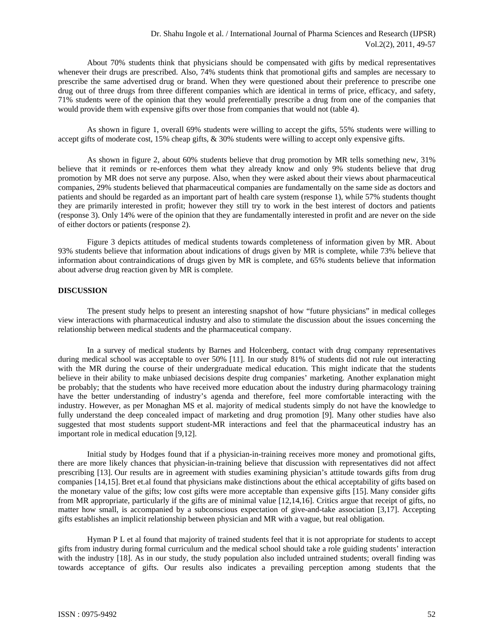About 70% students think that physicians should be compensated with gifts by medical representatives whenever their drugs are prescribed. Also, 74% students think that promotional gifts and samples are necessary to prescribe the same advertised drug or brand. When they were questioned about their preference to prescribe one drug out of three drugs from three different companies which are identical in terms of price, efficacy, and safety, 71% students were of the opinion that they would preferentially prescribe a drug from one of the companies that would provide them with expensive gifts over those from companies that would not (table 4).

As shown in figure 1, overall 69% students were willing to accept the gifts, 55% students were willing to accept gifts of moderate cost, 15% cheap gifts, & 30% students were willing to accept only expensive gifts.

As shown in figure 2, about 60% students believe that drug promotion by MR tells something new, 31% believe that it reminds or re-enforces them what they already know and only 9% students believe that drug promotion by MR does not serve any purpose. Also, when they were asked about their views about pharmaceutical companies, 29% students believed that pharmaceutical companies are fundamentally on the same side as doctors and patients and should be regarded as an important part of health care system (response 1), while 57% students thought they are primarily interested in profit; however they still try to work in the best interest of doctors and patients (response 3). Only 14% were of the opinion that they are fundamentally interested in profit and are never on the side of either doctors or patients (response 2).

Figure 3 depicts attitudes of medical students towards completeness of information given by MR. About 93% students believe that information about indications of drugs given by MR is complete, while 73% believe that information about contraindications of drugs given by MR is complete, and 65% students believe that information about adverse drug reaction given by MR is complete.

#### **DISCUSSION**

The present study helps to present an interesting snapshot of how "future physicians" in medical colleges view interactions with pharmaceutical industry and also to stimulate the discussion about the issues concerning the relationship between medical students and the pharmaceutical company.

In a survey of medical students by Barnes and Holcenberg, contact with drug company representatives during medical school was acceptable to over 50% [11]. In our study 81% of students did not rule out interacting with the MR during the course of their undergraduate medical education. This might indicate that the students believe in their ability to make unbiased decisions despite drug companies' marketing. Another explanation might be probably; that the students who have received more education about the industry during pharmacology training have the better understanding of industry's agenda and therefore, feel more comfortable interacting with the industry. However, as per Monaghan MS et al. majority of medical students simply do not have the knowledge to fully understand the deep concealed impact of marketing and drug promotion [9]. Many other studies have also suggested that most students support student-MR interactions and feel that the pharmaceutical industry has an important role in medical education [9,12].

Initial study by Hodges found that if a physician-in-training receives more money and promotional gifts, there are more likely chances that physician-in-training believe that discussion with representatives did not affect prescribing [13]. Our results are in agreement with studies examining physician's attitude towards gifts from drug companies [14,15]. Bret et.al found that physicians make distinctions about the ethical acceptability of gifts based on the monetary value of the gifts; low cost gifts were more acceptable than expensive gifts [15]. Many consider gifts from MR appropriate, particularly if the gifts are of minimal value [12,14,16]. Critics argue that receipt of gifts, no matter how small, is accompanied by a subconscious expectation of give-and-take association [3,17]. Accepting gifts establishes an implicit relationship between physician and MR with a vague, but real obligation.

Hyman P L et al found that majority of trained students feel that it is not appropriate for students to accept gifts from industry during formal curriculum and the medical school should take a role guiding students' interaction with the industry [18]. As in our study, the study population also included untrained students; overall finding was towards acceptance of gifts. Our results also indicates a prevailing perception among students that the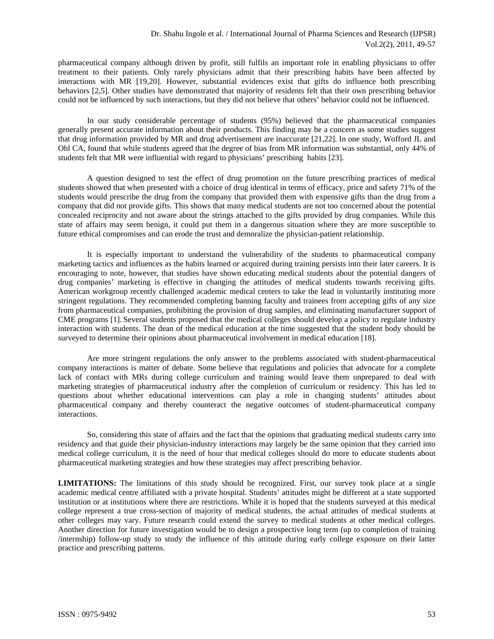pharmaceutical company although driven by profit, still fulfils an important role in enabling physicians to offer treatment to their patients. Only rarely physicians admit that their prescribing habits have been affected by interactions with MR [19,20]. However, substantial evidences exist that gifts do influence both prescribing behaviors [2,5]. Other studies have demonstrated that majority of residents felt that their own prescribing behavior could not be influenced by such interactions, but they did not believe that others' behavior could not be influenced.

In our study considerable percentage of students (95%) believed that the pharmaceutical companies generally present accurate information about their products. This finding may be a concern as some studies suggest that drug information provided by MR and drug advertisement are inaccurate [21,22]. In one study, Wofford JL and Ohl CA, found that while students agreed that the degree of bias from MR information was substantial, only 44% of students felt that MR were influential with regard to physicians' prescribing habits [23].

A question designed to test the effect of drug promotion on the future prescribing practices of medical students showed that when presented with a choice of drug identical in terms of efficacy, price and safety 71% of the students would prescribe the drug from the company that provided them with expensive gifts than the drug from a company that did not provide gifts. This shows that many medical students are not too concerned about the potential concealed reciprocity and not aware about the strings attached to the gifts provided by drug companies. While this state of affairs may seem benign, it could put them in a dangerous situation where they are more susceptible to future ethical compromises and can erode the trust and demoralize the physician-patient relationship.

It is especially important to understand the vulnerability of the students to pharmaceutical company marketing tactics and influences as the habits learned or acquired during training persists into their later careers. It is encouraging to note, however, that studies have shown educating medical students about the potential dangers of drug companies' marketing is effective in changing the attitudes of medical students towards receiving gifts. American workgroup recently challenged academic medical centers to take the lead in voluntarily instituting more stringent regulations. They recommended completing banning faculty and trainees from accepting gifts of any size from pharmaceutical companies, prohibiting the provision of drug samples, and eliminating manufacturer support of CME programs [1]. Several students proposed that the medical colleges should develop a policy to regulate industry interaction with students. The dean of the medical education at the time suggested that the student body should be surveyed to determine their opinions about pharmaceutical involvement in medical education [18].

Are more stringent regulations the only answer to the problems associated with student-pharmaceutical company interactions is matter of debate. Some believe that regulations and policies that advocate for a complete lack of contact with MRs during college curriculum and training would leave them unprepared to deal with marketing strategies of pharmaceutical industry after the completion of curriculum or residency. This has led to questions about whether educational interventions can play a role in changing students' attitudes about pharmaceutical company and thereby counteract the negative outcomes of student-pharmaceutical company interactions.

So, considering this state of affairs and the fact that the opinions that graduating medical students carry into residency and that guide their physician-industry interactions may largely be the same opinion that they carried into medical college curriculum, it is the need of hour that medical colleges should do more to educate students about pharmaceutical marketing strategies and how these strategies may affect prescribing behavior.

**LIMITATIONS:** The limitations of this study should be recognized. First, our survey took place at a single academic medical centre affiliated with a private hospital. Students' attitudes might be different at a state supported institution or at institutions where there are restrictions. While it is hoped that the students surveyed at this medical college represent a true cross-section of majority of medical students, the actual attitudes of medical students at other colleges may vary. Future research could extend the survey to medical students at other medical colleges. Another direction for future investigation would be to design a prospective long term (up to completion of training /internship) follow-up study to study the influence of this attitude during early college exposure on their latter practice and prescribing patterns.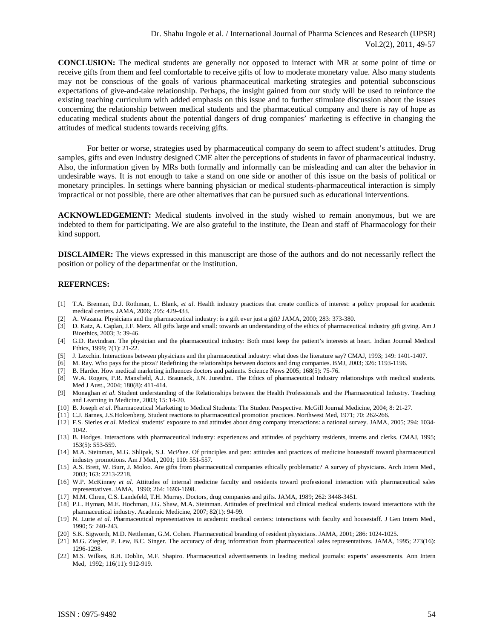**CONCLUSION:** The medical students are generally not opposed to interact with MR at some point of time or receive gifts from them and feel comfortable to receive gifts of low to moderate monetary value. Also many students may not be conscious of the goals of various pharmaceutical marketing strategies and potential subconscious expectations of give-and-take relationship. Perhaps, the insight gained from our study will be used to reinforce the existing teaching curriculum with added emphasis on this issue and to further stimulate discussion about the issues concerning the relationship between medical students and the pharmaceutical company and there is ray of hope as educating medical students about the potential dangers of drug companies' marketing is effective in changing the attitudes of medical students towards receiving gifts.

For better or worse, strategies used by pharmaceutical company do seem to affect student's attitudes. Drug samples, gifts and even industry designed CME alter the perceptions of students in favor of pharmaceutical industry. Also, the information given by MRs both formally and informally can be misleading and can alter the behavior in undesirable ways. It is not enough to take a stand on one side or another of this issue on the basis of political or monetary principles. In settings where banning physician or medical students-pharmaceutical interaction is simply impractical or not possible, there are other alternatives that can be pursued such as educational interventions.

**ACKNOWLEDGEMENT:** Medical students involved in the study wished to remain anonymous, but we are indebted to them for participating. We are also grateful to the institute, the Dean and staff of Pharmacology for their kind support.

**DISCLAIMER:** The views expressed in this manuscript are those of the authors and do not necessarily reflect the position or policy of the departmenfat or the institution.

### **REFERNCES:**

- [1] T.A. Brennan, D.J. Rothman, L. Blank, *et al*. Health industry practices that create conflicts of interest: a policy proposal for academic medical centers. JAMA, 2006; 295: 429-433.
- [2] A. Wazana. Physicians and the pharmaceutical industry: is a gift ever just a gift? JAMA, 2000; 283: 373-380.
- [3] D. Katz, A. Caplan, J.F. Merz. All gifts large and small: towards an understanding of the ethics of pharmaceutical industry gift giving. Am J Bioethics, 2003; 3: 39-46.
- [4] G.D. Ravindran. The physician and the pharmaceutical industry: Both must keep the patient's interests at heart. Indian Journal Medical Ethics, 1999; 7(1): 21-22.
- [5] J. Lexchin. Interactions between physicians and the pharmaceutical industry: what does the literature say? CMAJ, 1993; 149: 1401-1407.
- [6] M. Ray. Who pays for the pizza? Redefining the relationships between doctors and drug companies. BMJ, 2003; 326: 1193-1196.
- [7] B. Harder. How medical marketing influences doctors and patients. Science News 2005; 168(5): 75-76.
- [8] W.A. Rogers, P.R. Mansfield, A.J. Braunack, J.N. Jureidini. The Ethics of pharmaceutical Industry relationships with medical students. Med J Aust., 2004; 180(8): 411-414.
- [9] Monaghan *et al*. Student understanding of the Relationships between the Health Professionals and the Pharmaceutical Industry. Teaching and Learning in Medicine, 2003; 15: 14-20.
- [10] B. Joseph *et al*. Pharmaceutical Marketing to Medical Students: The Student Perspective. McGill Journal Medicine, 2004; 8: 21-27.
- [11] C.J. Barnes, J.S.Holcenberg. Student reactions to pharmaceutical promotion practices. Northwest Med, 1971; 70: 262-266.
- [12] F.S. Sierles *et al*. Medical students' exposure to and attitudes about drug company interactions: a national survey. JAMA, 2005; 294: 1034- 1042.
- [13] B. Hodges. Interactions with pharmaceutical industry: experiences and attitudes of psychiatry residents, interns and clerks. CMAJ, 1995; 153(5): 553-559.
- [14] M.A. Steinman, M.G. Shlipak, S.J. McPhee. Of principles and pen: attitudes and practices of medicine housestaff toward pharmaceutical industry promotions. Am J Med., 2001; 110: 551-557.
- [15] A.S. Brett, W. Burr, J. Moloo. Are gifts from pharmaceutical companies ethically problematic? A survey of physicians. Arch Intern Med., 2003; 163: 2213-2218.
- [16] W.P. McKinney *et al*. Attitudes of internal medicine faculty and residents toward professional interaction with pharmaceutical sales representatives. JAMA, 1990; 264: 1693-1698.
- [17] M.M. Chren, C.S. Landefeld, T.H. Murray. Doctors, drug companies and gifts. JAMA, 1989; 262: 3448-3451.
- [18] P.L. Hyman, M.E. Hochman, J.G. Shaw, M.A. Steinman. Attitudes of preclinical and clinical medical students toward interactions with the pharmaceutical industry. Academic Medicine, 2007; 82(1): 94-99.
- [19] N. Lurie *et al*. Pharmaceutical representatives in academic medical centers: interactions with faculty and housestaff. J Gen Intern Med., 1990; 5: 240-243.
- [20] S.K. Sigworth, M.D. Nettleman, G.M. Cohen. Pharmaceutical branding of resident physicians. JAMA, 2001; 286: 1024-1025.
- [21] M.G. Ziegler, P. Lew, B.C. Singer. The accuracy of drug information from pharmaceutical sales representatives. JAMA, 1995; 273(16): 1296-1298.
- [22] M.S. Wilkes, B.H. Doblin, M.F. Shapiro. Pharmaceutical advertisements in leading medical journals: experts' assessments. Ann Intern Med, 1992; 116(11): 912-919.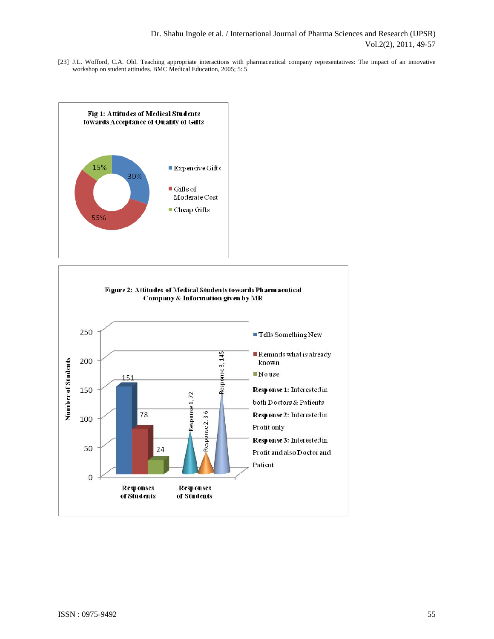[23] J.L. Wofford, C.A. Ohl. Teaching appropriate interactions with pharmaceutical company representatives: The impact of an innovative workshop on student attitudes. BMC Medical Education, 2005; 5: 5.



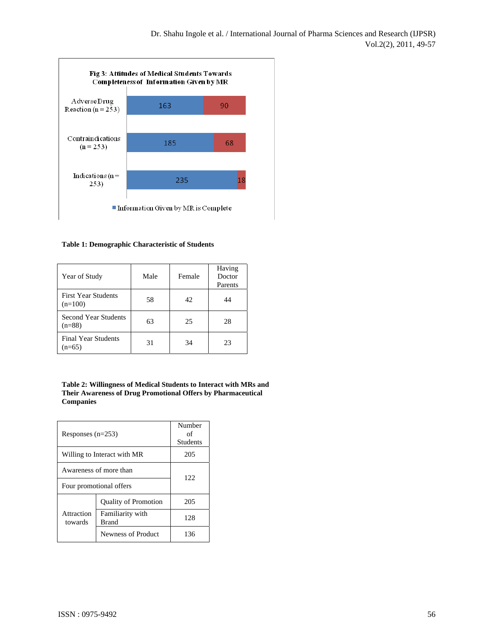

**Table 1: Demographic Characteristic of Students** 

| Year of Study                           | Male | Female | Having<br>Doctor<br>Parents |
|-----------------------------------------|------|--------|-----------------------------|
| <b>First Year Students</b><br>$(n=100)$ | 58   | 42     | 44                          |
| <b>Second Year Students</b><br>$(n=88)$ | 63   | 25     | 28                          |
| <b>Final Year Students</b><br>$(n=65)$  | 31   | 34     | 23                          |

**Table 2: Willingness of Medical Students to Interact with MRs and Their Awareness of Drug Promotional Offers by Pharmaceutical Companies** 

| Responses $(n=253)$         |                                  | Number<br>of<br><b>Students</b> |  |
|-----------------------------|----------------------------------|---------------------------------|--|
| Willing to Interact with MR |                                  | 205                             |  |
| Awareness of more than      |                                  | 122                             |  |
| Four promotional offers     |                                  |                                 |  |
| Attraction<br>towards       | <b>Quality of Promotion</b>      | 205                             |  |
|                             | Familiarity with<br><b>Brand</b> | 12.8                            |  |
|                             | Newness of Product               | 136                             |  |